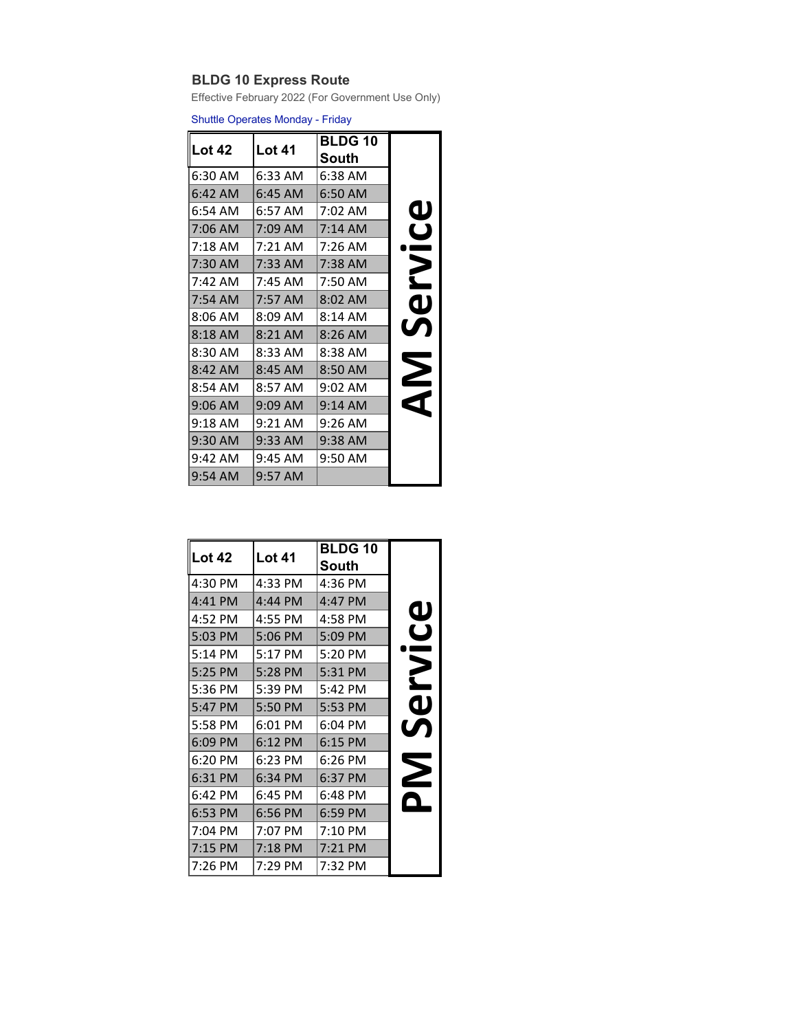## **BLDG 10 Express Route**

Effective February 2022 (For Government Use Only)

Shuttle Operates Monday - Friday

| <b>Lot 42</b> | Lot 41    | <b>BLDG 10</b><br>South |                         |
|---------------|-----------|-------------------------|-------------------------|
| 6:30 AM       | 6:33 AM   | 6:38 AM                 |                         |
| 6:42 AM       | $6:45$ AM | 6:50 AM                 |                         |
| 6:54 AM       | 6:57 AM   | 7:02 AM                 | $\bf \Phi$              |
| 7:06 AM       | 7:09 AM   | 7:14 AM                 | $\overline{\mathsf{C}}$ |
| 7:18 AM       | 7:21 AM   | 7:26 AM                 |                         |
| $7:30$ AM     | 7:33 AM   | 7:38 AM                 | 2                       |
| 7:42 AM       | 7:45 AM   | 7:50 AM                 |                         |
| 7:54 AM       | 7:57 AM   | $8:02$ AM               | വ                       |
| $8:06$ AM     | 8:09 AM   | 8:14 AM                 |                         |
| 8:18 AM       | $8:21$ AM | $8:26$ AM               | $\bm{U}$                |
| 8:30 AM       | 8:33 AM   | 8:38 AM                 |                         |
| 8:42 AM       | $8:45$ AM | 8:50 AM                 | $\boldsymbol{\Sigma}$   |
| 8:54 AM       | 8:57 AM   | 9:02 AM                 |                         |
| $9:06$ AM     | 9:09 AM   | $9:14$ AM               |                         |
| 9:18 AM       | 9:21 AM   | 9:26 AM                 |                         |
| 9:30 AM       | 9:33 AM   | 9:38 AM                 |                         |
| 9:42 AM       | 9:45 AM   | 9:50 AM                 |                         |
| 9:54 AM       | 9:57 AM   |                         |                         |

| <b>Lot 42</b> | <b>Lot 41</b> | <b>BLDG 10</b> |                         |
|---------------|---------------|----------------|-------------------------|
|               |               | South          |                         |
| 4:30 PM       | 4:33 PM       | 4:36 PM        |                         |
| 4:41 PM       | 4:44 PM       | 4:47 PM        |                         |
| 4:52 PM       | 4:55 PM       | 4:58 PM        | $\bf \Phi$              |
| 5:03 PM       | 5:06 PM       | 5:09 PM        | $\overline{\mathbf{C}}$ |
| 5:14 PM       | 5:17 PM       | 5:20 PM        |                         |
| 5:25 PM       | 5:28 PM       | 5:31 PM        | 2                       |
| 5:36 PM       | 5:39 PM       | 5:42 PM        |                         |
| 5:47 PM       | 5:50 PM       | 5:53 PM        | $\mathbf 0$             |
| 5:58 PM       | 6:01 PM       | 6:04 PM        | <b>UN</b>               |
| 6:09 PM       | $6:12$ PM     | $6:15$ PM      |                         |
| 6:20 PM       | 6:23 PM       | 6:26 PM        |                         |
| 6:31 PM       | 6:34 PM       | 6:37 PM        | $\boldsymbol{\Sigma}$   |
| 6:42 PM       | 6:45 PM       | 6:48 PM        |                         |
| 6:53 PM       | 6:56 PM       | $6:59$ PM      |                         |
| 7:04 PM       | 7:07 PM       | 7:10 PM        |                         |
| 7:15 PM       | $7:18$ PM     | 7:21 PM        |                         |
| 7:26 PM       | 7:29 PM       | 7:32 PM        |                         |